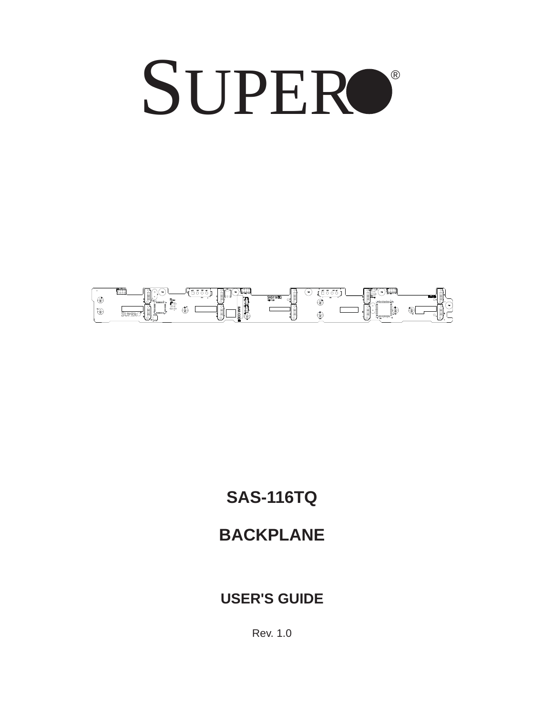# SUPERO®



## **SAS-116TQ**

## **BACKPLANE**

#### **USER'S GUIDE**

Rev. 1.0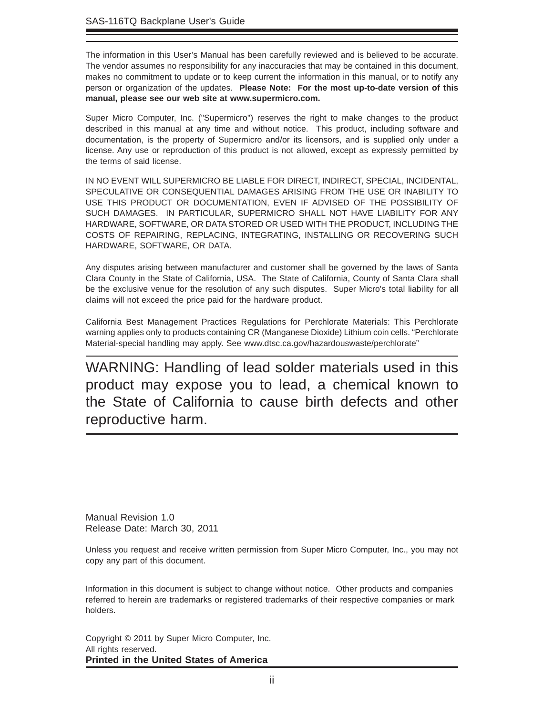The information in this User's Manual has been carefully reviewed and is believed to be accurate. The vendor assumes no responsibility for any inaccuracies that may be contained in this document, makes no commitment to update or to keep current the information in this manual, or to notify any person or organization of the updates. **Please Note: For the most up-to-date version of this manual, please see our web site at www.supermicro.com.**

Super Micro Computer, Inc. ("Supermicro") reserves the right to make changes to the product described in this manual at any time and without notice. This product, including software and documentation, is the property of Supermicro and/or its licensors, and is supplied only under a license. Any use or reproduction of this product is not allowed, except as expressly permitted by the terms of said license.

IN NO EVENT WILL SUPERMICRO BE LIABLE FOR DIRECT, INDIRECT, SPECIAL, INCIDENTAL, SPECULATIVE OR CONSEQUENTIAL DAMAGES ARISING FROM THE USE OR INABILITY TO USE THIS PRODUCT OR DOCUMENTATION, EVEN IF ADVISED OF THE POSSIBILITY OF SUCH DAMAGES. IN PARTICULAR, SUPERMICRO SHALL NOT HAVE LIABILITY FOR ANY HARDWARE, SOFTWARE, OR DATA STORED OR USED WITH THE PRODUCT, INCLUDING THE COSTS OF REPAIRING, REPLACING, INTEGRATING, INSTALLING OR RECOVERING SUCH HARDWARE, SOFTWARE, OR DATA.

Any disputes arising between manufacturer and customer shall be governed by the laws of Santa Clara County in the State of California, USA. The State of California, County of Santa Clara shall be the exclusive venue for the resolution of any such disputes. Super Micro's total liability for all claims will not exceed the price paid for the hardware product.

California Best Management Practices Regulations for Perchlorate Materials: This Perchlorate warning applies only to products containing CR (Manganese Dioxide) Lithium coin cells. "Perchlorate Material-special handling may apply. See www.dtsc.ca.gov/hazardouswaste/perchlorate"

WARNING: Handling of lead solder materials used in this product may expose you to lead, a chemical known to the State of California to cause birth defects and other reproductive harm.

Manual Revision 1.0 Release Date: March 30, 2011

Unless you request and receive written permission from Super Micro Computer, Inc., you may not copy any part of this document.

Information in this document is subject to change without notice. Other products and companies referred to herein are trademarks or registered trademarks of their respective companies or mark holders.

Copyright © 2011 by Super Micro Computer, Inc. All rights reserved. **Printed in the United States of America**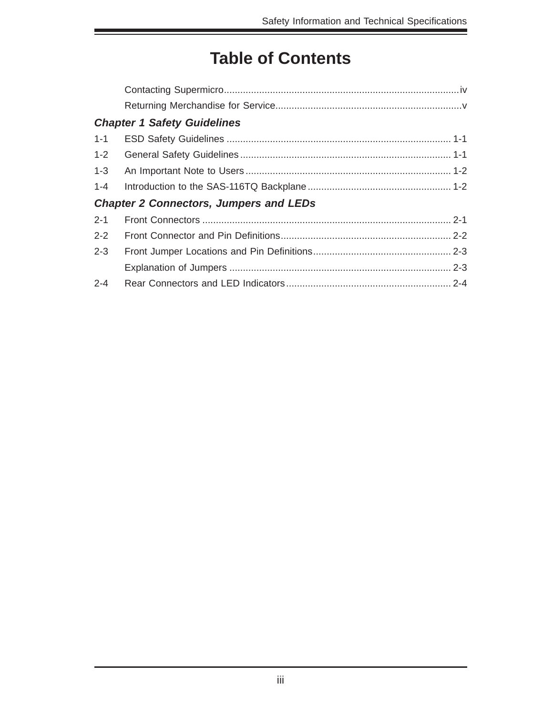## **Table of Contents**

|                                               | <b>Chapter 1 Safety Guidelines</b> |  |  |  |  |
|-----------------------------------------------|------------------------------------|--|--|--|--|
| $1 - 1$                                       |                                    |  |  |  |  |
| $1 - 2$                                       |                                    |  |  |  |  |
| $1-3$                                         |                                    |  |  |  |  |
| $1 - 4$                                       |                                    |  |  |  |  |
| <b>Chapter 2 Connectors, Jumpers and LEDs</b> |                                    |  |  |  |  |
| $2 - 1$                                       |                                    |  |  |  |  |
| $2 - 2$                                       |                                    |  |  |  |  |
| $2 - 3$                                       |                                    |  |  |  |  |
|                                               |                                    |  |  |  |  |
| $2 - 4$                                       |                                    |  |  |  |  |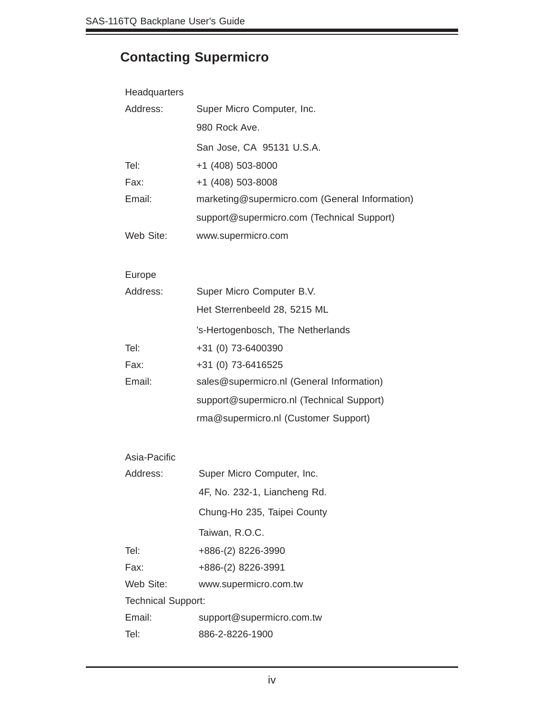## **Contacting Supermicro**

| Headquarters              |                                                |  |
|---------------------------|------------------------------------------------|--|
| Address:                  | Super Micro Computer, Inc.                     |  |
|                           | 980 Rock Ave.                                  |  |
|                           | San Jose, CA 95131 U.S.A.                      |  |
| Tel:                      | +1 (408) 503-8000                              |  |
| Fax:                      | +1 (408) 503-8008                              |  |
| Email:                    | marketing@supermicro.com (General Information) |  |
|                           | support@supermicro.com (Technical Support)     |  |
| Web Site:                 | www.supermicro.com                             |  |
|                           |                                                |  |
| Europe<br>Address:        |                                                |  |
|                           | Super Micro Computer B.V.                      |  |
|                           | Het Sterrenbeeld 28, 5215 ML                   |  |
|                           | 's-Hertogenbosch, The Netherlands              |  |
| Tel:                      | +31 (0) 73-6400390                             |  |
| Fax:                      | +31 (0) 73-6416525                             |  |
| Email:                    | sales@supermicro.nl (General Information)      |  |
|                           | support@supermicro.nl (Technical Support)      |  |
|                           | rma@supermicro.nl (Customer Support)           |  |
| Asia-Pacific              |                                                |  |
| Address:                  | Super Micro Computer, Inc.                     |  |
|                           | 4F, No. 232-1, Liancheng Rd.                   |  |
|                           | Chung-Ho 235, Taipei County                    |  |
|                           | Taiwan, R.O.C.                                 |  |
| Tel:                      | +886-(2) 8226-3990                             |  |
| Fax:                      | +886-(2) 8226-3991                             |  |
| Web Site:                 | www.supermicro.com.tw                          |  |
| <b>Technical Support:</b> |                                                |  |
| Email:                    | support@supermicro.com.tw                      |  |
| Tel:                      | 886-2-8226-1900                                |  |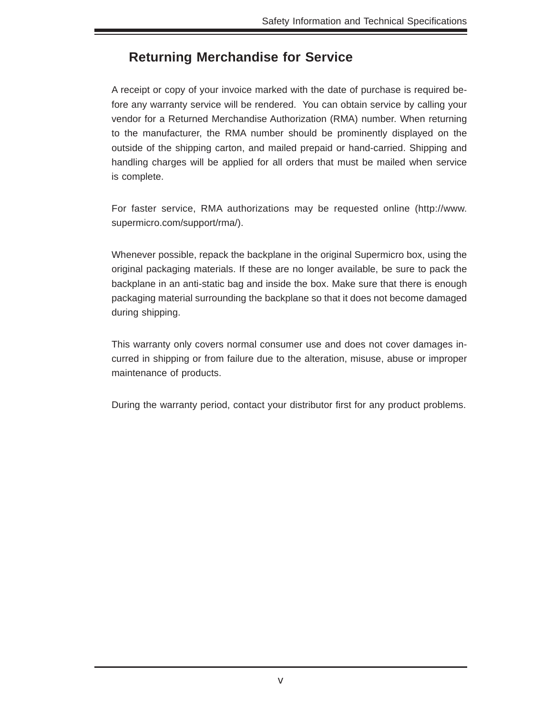#### **Returning Merchandise for Service**

A receipt or copy of your invoice marked with the date of purchase is required before any warranty service will be rendered. You can obtain service by calling your vendor for a Returned Merchandise Authorization (RMA) number. When returning to the manufacturer, the RMA number should be prominently displayed on the outside of the shipping carton, and mailed prepaid or hand-carried. Shipping and handling charges will be applied for all orders that must be mailed when service is complete.

For faster service, RMA authorizations may be requested online (http://www. supermicro.com/support/rma/).

Whenever possible, repack the backplane in the original Supermicro box, using the original packaging materials. If these are no longer available, be sure to pack the backplane in an anti-static bag and inside the box. Make sure that there is enough packaging material surrounding the backplane so that it does not become damaged during shipping.

This warranty only covers normal consumer use and does not cover damages incurred in shipping or from failure due to the alteration, misuse, abuse or improper maintenance of products.

During the warranty period, contact your distributor first for any product problems.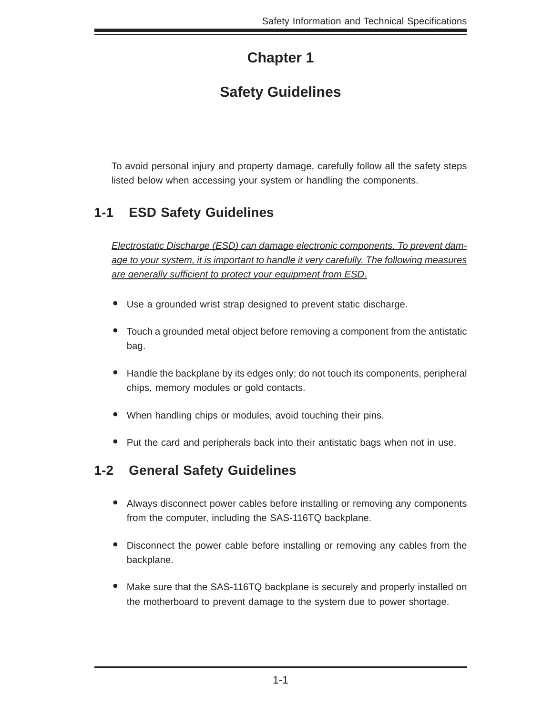## **Chapter 1**

## **Safety Guidelines**

To avoid personal injury and property damage, carefully follow all the safety steps listed below when accessing your system or handling the components.

#### **1-1 ESD Safety Guidelines**

*Electrostatic Discharge (ESD) can damage electronic com ponents. To prevent damage to your system, it is important to handle it very carefully. The following measures are generally suffi cient to protect your equipment from ESD.*

- Use a grounded wrist strap designed to prevent static discharge.
- Touch a grounded metal object before removing a component from the antistatic bag.
- Handle the backplane by its edges only; do not touch its components, peripheral chips, memory modules or gold contacts.
- When handling chips or modules, avoid touching their pins.
- Put the card and peripherals back into their antistatic bags when not in use.

#### **1-2 General Safety Guidelines**

- Always disconnect power cables before installing or removing any components from the computer, including the SAS-116TQ backplane.
- Disconnect the power cable before installing or removing any cables from the backplane.
- Make sure that the SAS-116TQ backplane is securely and properly installed on the motherboard to prevent damage to the system due to power shortage.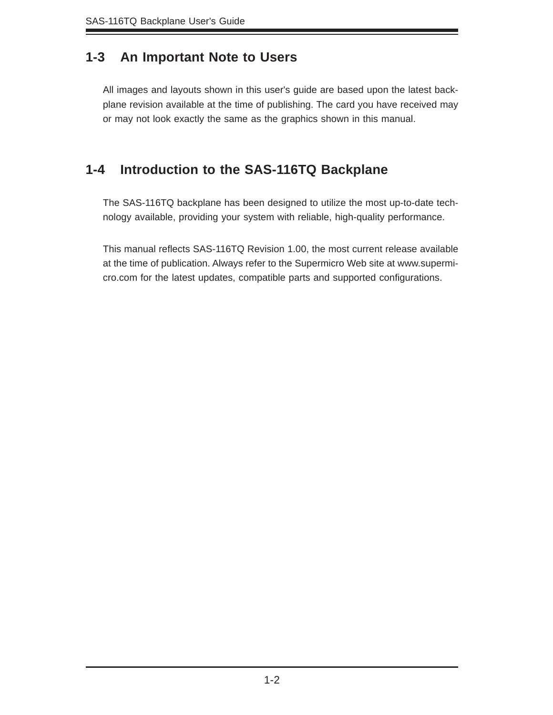#### **1-3 An Important Note to Users**

All images and layouts shown in this user's guide are based upon the latest backplane revision available at the time of publishing. The card you have received may or may not look exactly the same as the graphics shown in this manual.

#### **1-4 Introduction to the SAS-116TQ Backplane**

The SAS-116TQ backplane has been designed to utilize the most up-to-date technology available, providing your system with reliable, high-quality performance.

This manual reflects SAS-116TQ Revision 1.00, the most current release available at the time of publication. Always refer to the Supermicro Web site at www.supermicro.com for the latest updates, compatible parts and supported configurations.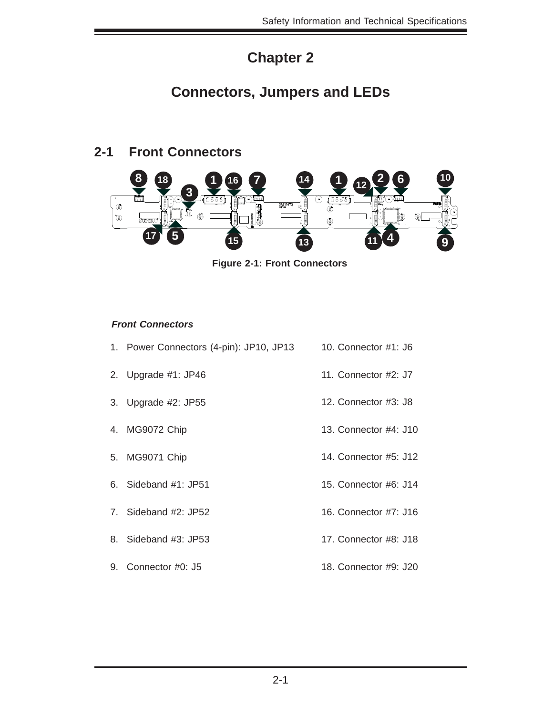### **Chapter 2**

#### **Connectors, Jumpers and LEDs**

#### **2-1 Front Connectors**



**Figure 2-1: Front Connectors**

#### *Front Connectors*

- 1. Power Connectors (4-pin): JP10, JP13 10. Connector #1: J6
- 2. Upgrade #1: JP46
- 3. Upgrade #2: JP55
- 4. MG9072 Chip
- 5. MG9071 Chip
- 6. Sideband #1: JP51
- 7. Sideband #2: JP52
- 8. Sideband #3: JP53
- 9. Connector #0: J5
- 11. Connector #2: J7
- 12. Connector #3: J8
- 13. Connector #4: J10
- 14. Connector #5: J12
- 15. Connector #6: J14
- 16. Connector #7: J16
- 17. Connector #8: J18
- 18. Connector #9: J20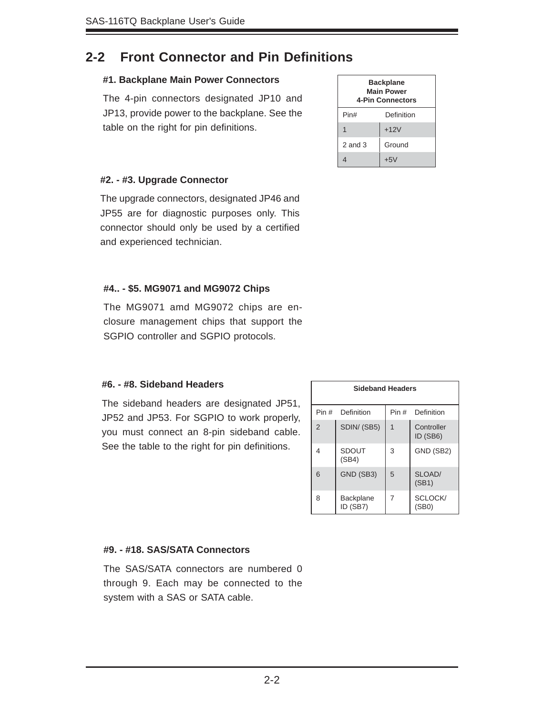#### **2-2 Front Connector and Pin Definitions**

#### **#1. Backplane Main Power Connectors**

The 4-pin connectors designated JP10 and JP13, provide power to the backplane. See the table on the right for pin definitions.

| <b>Backplane</b><br><b>Main Power</b><br>4-Pin Connectors |            |  |
|-----------------------------------------------------------|------------|--|
| Pin#                                                      | Definition |  |
|                                                           | $+12V$     |  |
| $2$ and $3$                                               | Ground     |  |
|                                                           | $+5V$      |  |

#### **#2. - #3. Upgrade Connector**

The upgrade connectors, designated JP46 and JP55 are for diagnostic purposes only. This connector should only be used by a certified and experienced technician.

#### **#4.. - \$5. MG9071 and MG9072 Chips**

The MG9071 amd MG9072 chips are enclosure management chips that support the SGPIO controller and SGPIO protocols.

#### **#6. - #8. Sideband Headers**

The sideband headers are designated JP51, JP52 and JP53. For SGPIO to work properly, you must connect an 8-pin sideband cable. See the table to the right for pin definitions.

| <b>Sideband Headers</b> |                       |       |                        |  |  |
|-------------------------|-----------------------|-------|------------------------|--|--|
| Pin #                   | Definition            | Pin # | Definition             |  |  |
| $\overline{2}$          | SDIN/(SB5)            | 1     | Controller<br>ID (SB6) |  |  |
| 4                       | <b>SDOUT</b><br>(SB4) | 3     | GND (SB2)              |  |  |
| 6                       | GND (SB3)             | 5     | SLOAD/<br>(SB1)        |  |  |
| 8                       | Backplane<br>ID (SB7) | 7     | SCLOCK/<br>(SB0)       |  |  |

#### **#9. - #18. SAS/SATA Connectors**

The SAS/SATA connectors are numbered 0 through 9. Each may be connected to the system with a SAS or SATA cable.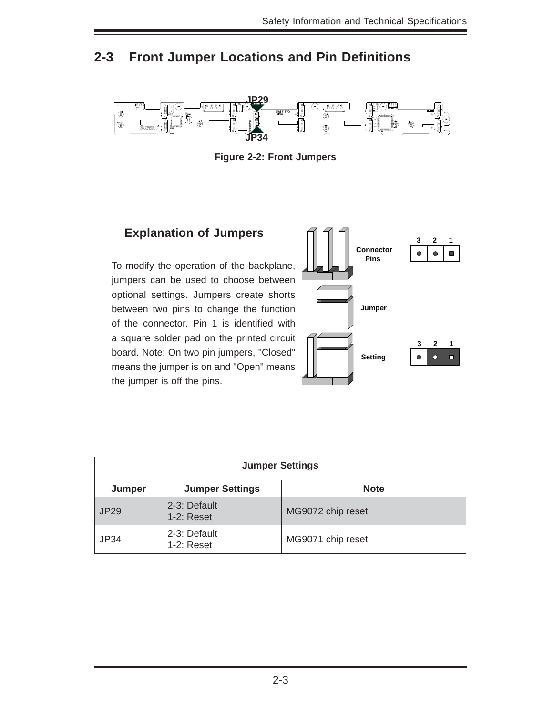#### **2-3 Front Jumper Locations and Pin Definitions**



**Figure 2-2: Front Jumpers**

#### **Explanation of Jumpers**

To modify the operation of the backplane, jumpers can be used to choose between optional settings. Jumpers create shorts between two pins to change the function of the connector. Pin 1 is identified with a square solder pad on the printed circuit board. Note: On two pin jumpers, "Closed" means the jumper is on and "Open" means the jumper is off the pins.



| <b>Jumper Settings</b> |                               |                   |  |  |
|------------------------|-------------------------------|-------------------|--|--|
| Jumper                 | <b>Jumper Settings</b>        | <b>Note</b>       |  |  |
| <b>JP29</b>            | 2-3: Default<br>$1-2$ : Reset | MG9072 chip reset |  |  |
| <b>JP34</b>            | 2-3: Default<br>$1-2$ : Reset | MG9071 chip reset |  |  |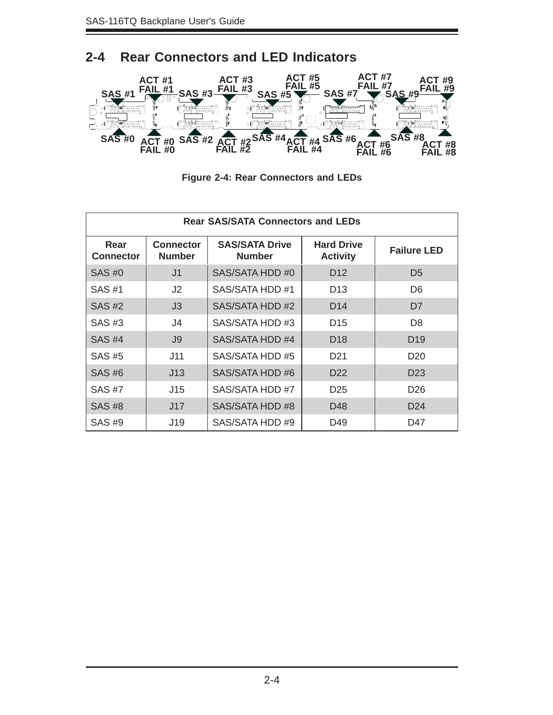**FAIL #0**

#### **2-4 Rear Connectors and LED Indicators ACT #7 ACT #9 ACT #5 FAIL #7 FAIL #9 ACT #1 ACT #3 FAIL #5** ACT#3 **SAS #1 SAS #3 SAS #5 FAIL #3 FAIL #1 SAS #7 SAS #9** 7 1 7 1 8 2 <sup>8</sup> <sup>2</sup> ACT#5 d<br>A C l<br>1 FAIL#6 ACT#7 б <sup>21</sup> <sup>27</sup> <sup>33</sup> 21 27 33 21 334 345 35  $\sim$   $\sim$ A C A . . A C f<br>|<br>| A C 7 8 , . .  $\overline{\phantom{a}}$  $\overline{\phantom{a}}$ FAIL#2 ACT#2 <sup>A</sup> CD23A <sup>C</sup> . . . 21 33 . . . . . . 27 33 34 f 9 Julie 1990 - 1990 - 1990 - 1990 - 1990 - 1990 - 1990 - 1990 - 1990 - 1990 - 1990 - 1990 - 1990 - 1990 - 1990 7 8 ,  $\overline{\phantom{a}}$ -- $\overline{\phantom{a}}$ **SAS #0 SAS #2 SAS #4 SAS #8 ACT #0 SAS #6 CT** #4<br>AIL #4 **ACT #2 FAIL #4 ACT #8 FAIL #6 ACT #6 FAIL #8**

**FAIL #2**

| <b>Figure 2-4: Rear Connectors and LEDs</b> |
|---------------------------------------------|
|---------------------------------------------|

| <b>Rear SAS/SATA Connectors and LEDs</b> |                                   |                                        |                                      |                    |  |
|------------------------------------------|-----------------------------------|----------------------------------------|--------------------------------------|--------------------|--|
| Rear<br>Connector                        | <b>Connector</b><br><b>Number</b> | <b>SAS/SATA Drive</b><br><b>Number</b> | <b>Hard Drive</b><br><b>Activity</b> | <b>Failure LED</b> |  |
| $SAS \#O$                                | J1                                | SAS/SATA HDD #0                        | D <sub>12</sub>                      | D <sub>5</sub>     |  |
| SAS #1                                   | J <sub>2</sub>                    | SAS/SATA HDD #1                        | D <sub>13</sub>                      | D <sub>6</sub>     |  |
| <b>SAS #2</b>                            | J3                                | SAS/SATA HDD #2                        | D <sub>14</sub>                      | D <sub>7</sub>     |  |
| SAS #3                                   | J4                                | SAS/SATA HDD #3                        | D <sub>15</sub>                      | D <sub>8</sub>     |  |
| <b>SAS #4</b>                            | J9                                | SAS/SATA HDD #4                        | D <sub>18</sub>                      | D <sub>19</sub>    |  |
| SAS #5                                   | J11                               | SAS/SATA HDD #5                        | D <sub>21</sub>                      | D <sub>20</sub>    |  |
| SAS #6                                   | J13                               | SAS/SATA HDD #6                        | D <sub>22</sub>                      | D <sub>23</sub>    |  |
| SAS #7                                   | J15                               | SAS/SATA HDD #7                        | D <sub>25</sub>                      | D <sub>26</sub>    |  |
| <b>SAS #8</b>                            | J17                               | SAS/SATA HDD #8                        | D48                                  | D <sub>24</sub>    |  |
| SAS #9                                   | J19                               | SAS/SATA HDD #9                        | D49                                  | D47                |  |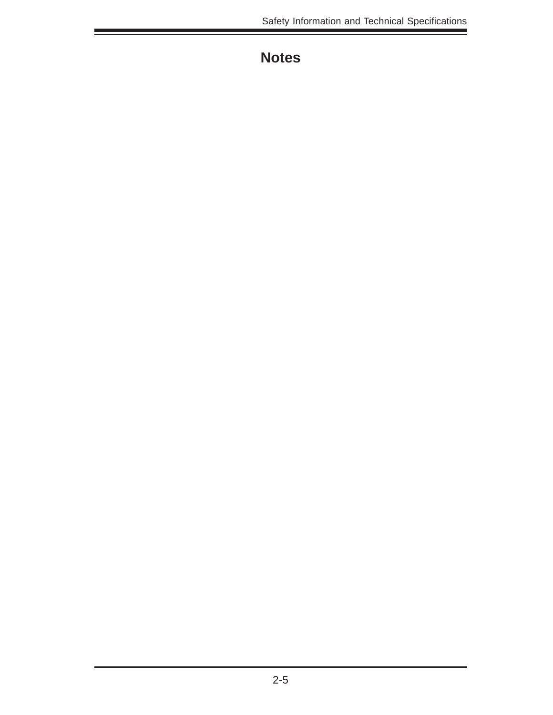## **Notes**